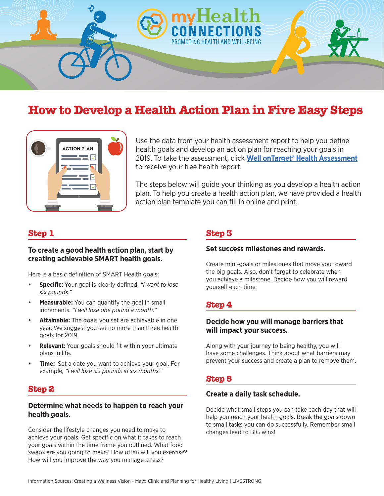

# **How to Develop a Health Action Plan in Five Easy Steps**



Use the data from your health assessment report to help you define health goals and develop an action plan for reaching your goals in 2019. To take the assessment, click **[Well onTarget® Health Assessment](http://www.wellontarget.com/)** to receive your free health report.

The steps below will guide your thinking as you develop a health action plan. To help you create a health action plan, we have provided a health action plan template you can fill in online and print.

# **Step 1**

#### **To create a good health action plan, start by creating achievable SMART health goals.**

Here is a basic definition of SMART Health goals:

- **• Specific:** Your goal is clearly defined. *"I want to lose six pounds."*
- **• Measurable:** You can quantify the goal in small increments. *"I will lose one pound a month."*
- **• Attainable:** The goals you set are achievable in one year. We suggest you set no more than three health goals for 2019.
- **• Relevant:** Your goals should fit within your ultimate plans in life.
- **Time:** Set a date you want to achieve your goal. For example, *"I will lose six pounds in six months."*

# **Step 2**

#### **Determine what needs to happen to reach your health goals.**

Consider the lifestyle changes you need to make to achieve your goals. Get specific on what it takes to reach your goals within the time frame you outlined. What food swaps are you going to make? How often will you exercise? How will you improve the way you manage stress?

# **Step 3**

#### **Set success milestones and rewards.**

Create mini-goals or milestones that move you toward the big goals. Also, don't forget to celebrate when you achieve a milestone. Decide how you will reward yourself each time.

# **Step 4**

### **Decide how you will manage barriers that will impact your success.**

Along with your journey to being healthy, you will have some challenges. Think about what barriers may prevent your success and create a plan to remove them.

# **Step 5**

#### **Create a daily task schedule.**

Decide what small steps you can take each day that will help you reach your health goals. Break the goals down to small tasks you can do successfully. Remember small changes lead to BIG wins!